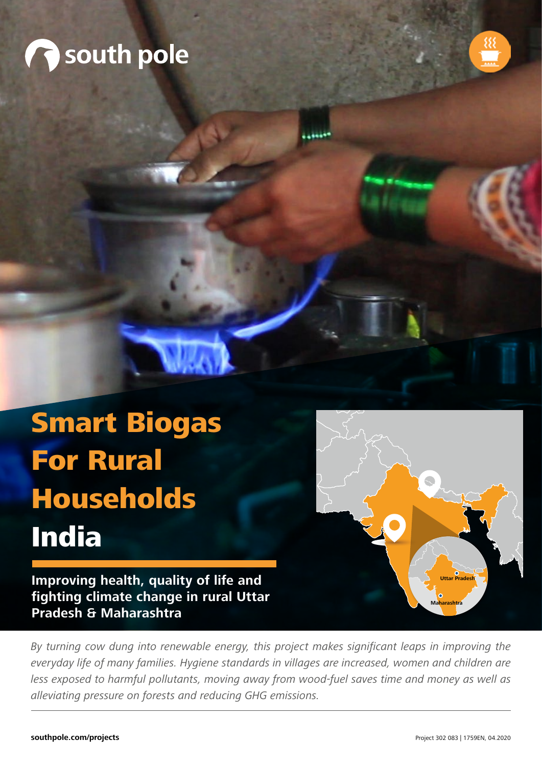



# Smart Biogas For Rural Households India

**Improving health, quality of life and fighting climate change in rural Uttar Pradesh & Maharashtra**

By turning cow dung into renewable energy, this project makes significant leaps in improving the everyday life of many families. Hygiene standards in villages are increased, women and children are less exposed to harmful pollutants, moving away from wood-fuel saves time and money as well as alleviating pressure on forests and reducing GHG emissions.